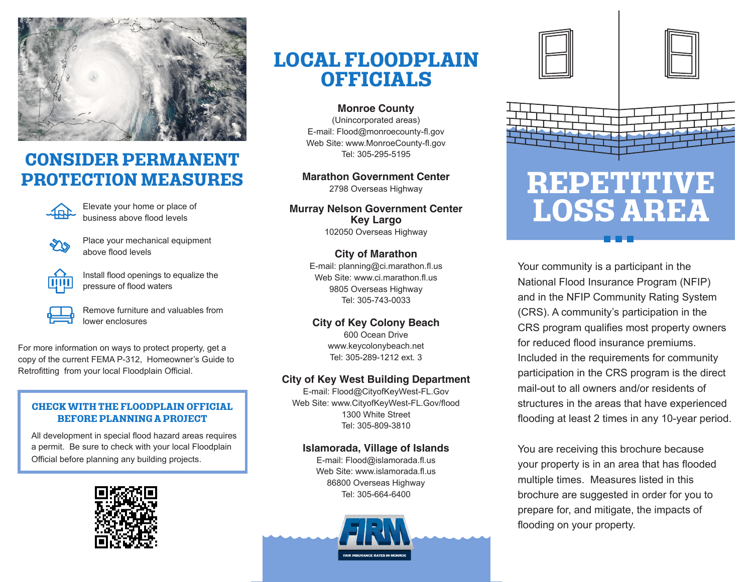

## **CONSIDER PERMANENT PROTECTION MEASURES**



Elevate your home or place of business above flood levels



Place your mechanical equipment above flood levels



Install flood openings to equalize the pressure of flood waters

Remove furniture and valuables from lower enclosures

For more information on ways to protect property, get a copy of the current FEMA P-312, Homeowner's Guide to Retrofitting from your local Floodplain Official.

#### **CHECK WITH THE FLOODPLAIN OFFICIAL BEFORE PLANNING A PROJECT**

All development in special flood hazard areas requires a permit. Be sure to check with your local Floodplain Official before planning any building projects.



# **LOCAL FLOODPLAIN OFFICIALS**

**Monroe County** (Unincorporated areas) E-mail: Flood@monroecounty-fl.gov Web Site: www.MonroeCounty-fl.gov Tel: 305-295-5195

**Marathon Government Center** 2798 Overseas Highway

**Murray Nelson Government Center Key Largo** 102050 Overseas Highway

> **City of Marathon** E-mail: planning@ci.marathon.fl.us Web Site: www.ci.marathon.fl.us 9805 Overseas Highway Tel: 305-743-0033

### **City of Key Colony Beach**

600 Ocean Drive www.keycolonybeach.net Tel: 305-289-1212 ext. 3

### **City of Key West Building Department**

E-mail: Flood@CityofKeyWest-FL.Gov Web Site: www.CityofKeyWest-FL.Gov/flood 1300 White Street Tel: 305-809-3810

#### **Islamorada, Village of Islands**

E-mail: Flood@islamorada.fl.us Web Site: www.islamorada.fl.us 86800 Overseas Highway Tel: 305-664-6400









Your community is a participant in the National Flood Insurance Program (NFIP) and in the NFIP Community Rating System (CRS). A community's participation in the CRS program qualifies most property owners for reduced flood insurance premiums. Included in the requirements for community participation in the CRS program is the direct mail-out to all owners and/or residents of structures in the areas that have experienced flooding at least 2 times in any 10-year period.

You are receiving this brochure because your property is in an area that has flooded multiple times. Measures listed in this brochure are suggested in order for you to prepare for, and mitigate, the impacts of flooding on your property.